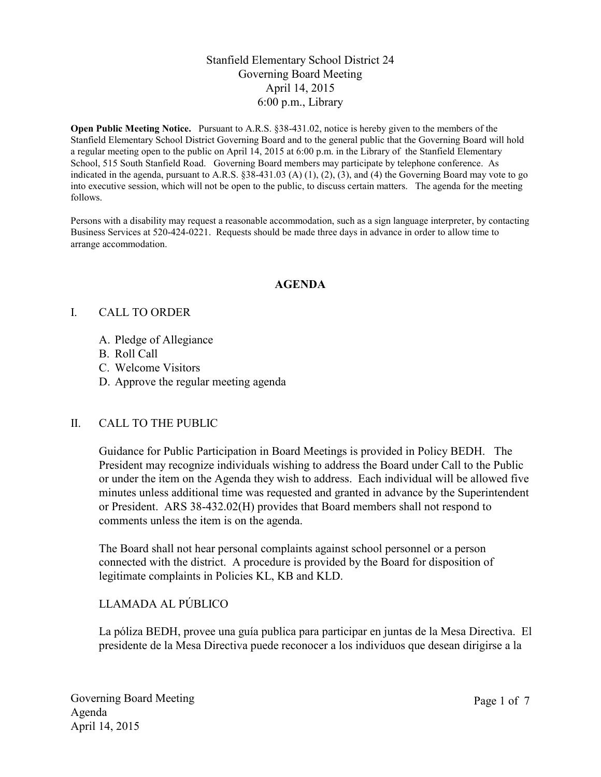## Stanfield Elementary School District 24 Governing Board Meeting April 14, 2015 6:00 p.m., Library

**Open Public Meeting Notice.** Pursuant to A.R.S. §38-431.02, notice is hereby given to the members of the Stanfield Elementary School District Governing Board and to the general public that the Governing Board will hold a regular meeting open to the public on April 14, 2015 at 6:00 p.m. in the Library of the Stanfield Elementary School, 515 South Stanfield Road. Governing Board members may participate by telephone conference. As indicated in the agenda, pursuant to A.R.S.  $\S 38-431.03$  (A) (1), (2), (3), and (4) the Governing Board may vote to go into executive session, which will not be open to the public, to discuss certain matters. The agenda for the meeting follows.

Persons with a disability may request a reasonable accommodation, such as a sign language interpreter, by contacting Business Services at 520-424-0221. Requests should be made three days in advance in order to allow time to arrange accommodation.

#### **AGENDA**

#### I. CALL TO ORDER

- A. Pledge of Allegiance
- B. Roll Call
- C. Welcome Visitors
- D. Approve the regular meeting agenda

## II. CALL TO THE PUBLIC

Guidance for Public Participation in Board Meetings is provided in Policy BEDH. The President may recognize individuals wishing to address the Board under Call to the Public or under the item on the Agenda they wish to address. Each individual will be allowed five minutes unless additional time was requested and granted in advance by the Superintendent or President. ARS 38-432.02(H) provides that Board members shall not respond to comments unless the item is on the agenda.

The Board shall not hear personal complaints against school personnel or a person connected with the district. A procedure is provided by the Board for disposition of legitimate complaints in Policies KL, KB and KLD.

## LLAMADA AL PÚBLICO

La póliza BEDH, provee una guía publica para participar en juntas de la Mesa Directiva. El presidente de la Mesa Directiva puede reconocer a los individuos que desean dirigirse a la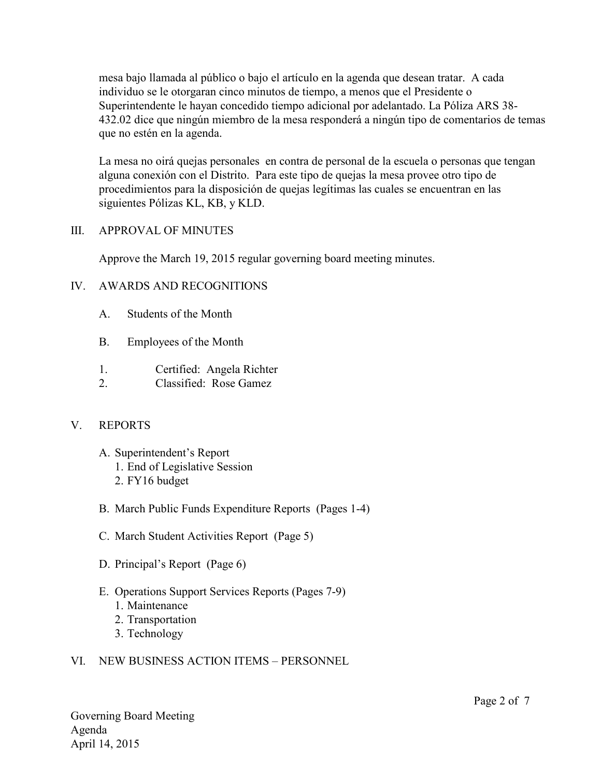mesa bajo llamada al público o bajo el artículo en la agenda que desean tratar. A cada individuo se le otorgaran cinco minutos de tiempo, a menos que el Presidente o Superintendente le hayan concedido tiempo adicional por adelantado. La Póliza ARS 38- 432.02 dice que ningún miembro de la mesa responderá a ningún tipo de comentarios de temas que no estén en la agenda.

La mesa no oirá quejas personales en contra de personal de la escuela o personas que tengan alguna conexión con el Distrito. Para este tipo de quejas la mesa provee otro tipo de procedimientos para la disposición de quejas legítimas las cuales se encuentran en las siguientes Pólizas KL, KB, y KLD.

#### III. APPROVAL OF MINUTES

Approve the March 19, 2015 regular governing board meeting minutes.

## IV. AWARDS AND RECOGNITIONS

- A. Students of the Month
- B. Employees of the Month
- 1. Certified: Angela Richter
- 2. Classified: Rose Gamez

## V. REPORTS

- A. Superintendent's Report
	- 1. End of Legislative Session
	- 2. FY16 budget
- B. March Public Funds Expenditure Reports (Pages 1-4)
- C. March Student Activities Report (Page 5)
- D. Principal's Report (Page 6)
- E. Operations Support Services Reports (Pages 7-9)
	- 1. Maintenance
	- 2. Transportation
	- 3. Technology

## VI. NEW BUSINESS ACTION ITEMS – PERSONNEL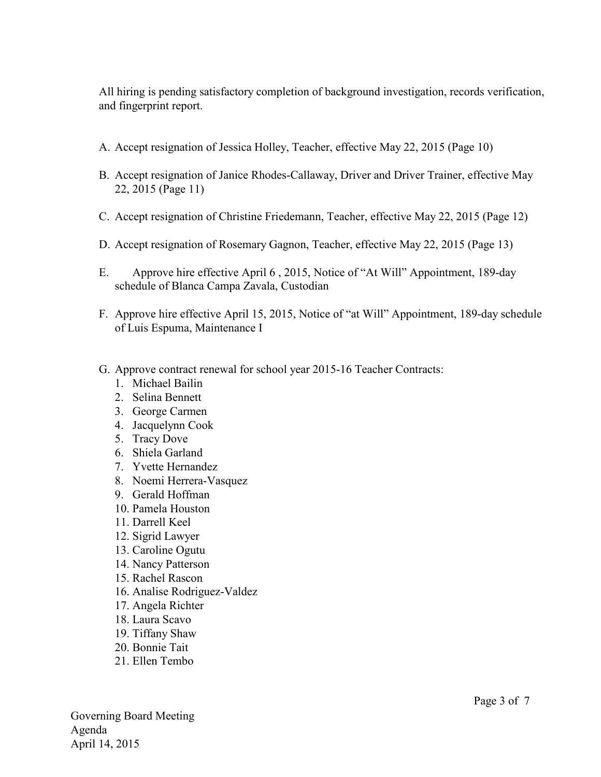All hiring is pending satisfactory completion of background investigation, records verification, and fingerprint report.

- A. Accept resignation of Jessica Holley, Teacher, effective May 22, 2015 (Page 10)
- B. Accept resignation of Janice Rhodes-Callaway, Driver and Driver Trainer, effective May 22, 2015 (Page 11)
- C. Accept resignation of Christine Friedemann, Teacher, effective May 22, 2015 (Page 12)
- D. Accept resignation of Rosemary Gagnon, Teacher, effective May 22, 2015 (Page 13)
- E. Approve hire effective April 6 , 2015, Notice of "At Will" Appointment, 189-day schedule of Blanca Campa Zavala, Custodian
- F. Approve hire effective April 15, 2015, Notice of "at Will" Appointment, 189-day schedule of Luis Espuma, Maintenance I
- G. Approve contract renewal for school year 2015-16 Teacher Contracts:
	- 1. Michael Bailin
	- 2. Selina Bennett
	- 3. George Carmen
	- 4. Jacquelynn Cook
	- 5. Tracy Dove
	- 6. Shiela Garland
	- 7. Yvette Hernandez
	- 8. Noemi Herrera-Vasquez
	- 9. Gerald Hoffman
	- 10. Pamela Houston
	- 11. Darrell Keel
	- 12. Sigrid Lawyer
	- 13. Caroline Ogutu
	- 14. Nancy Patterson
	- 15. Rachel Rascon
	- 16. Analise Rodriguez-Valdez
	- 17. Angela Richter
	- 18. Laura Scavo
	- 19. Tiffany Shaw
	- 20. Bonnie Tait
	- 21. Ellen Tembo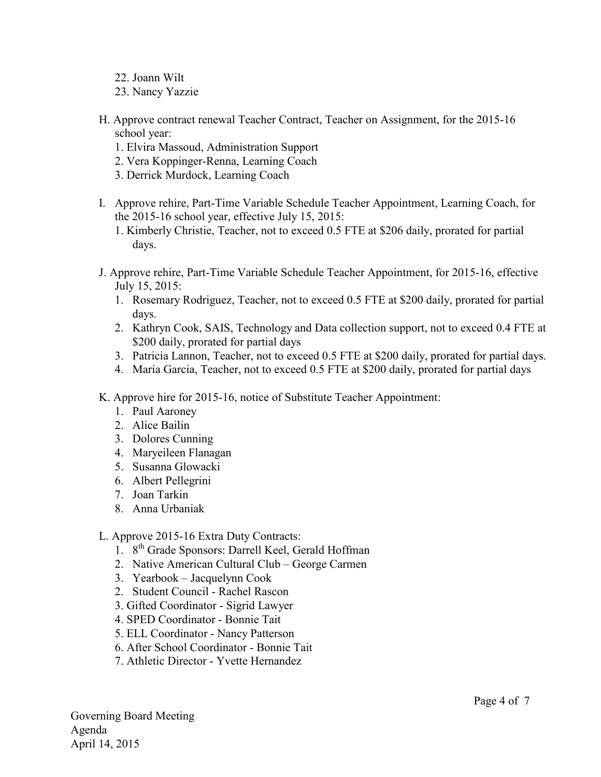- 22. Joann Wilt
- 23. Nancy Yazzie
- H. Approve contract renewal Teacher Contract, Teacher on Assignment, for the 2015-16 school year:
	- 1. Elvira Massoud, Administration Support
	- 2. Vera Koppinger-Renna, Learning Coach
	- 3. Derrick Murdock, Learning Coach
- I. Approve rehire, Part-Time Variable Schedule Teacher Appointment, Learning Coach, for the 2015-16 school year, effective July 15, 2015:

1. Kimberly Christie, Teacher, not to exceed 0.5 FTE at \$206 daily, prorated for partial days.

- J. Approve rehire, Part-Time Variable Schedule Teacher Appointment, for 2015-16, effective July 15, 2015:
	- 1. Rosemary Rodriguez, Teacher, not to exceed 0.5 FTE at \$200 daily, prorated for partial days.
	- 2. Kathryn Cook, SAIS, Technology and Data collection support, not to exceed 0.4 FTE at \$200 daily, prorated for partial days
	- 3. Patricia Lannon, Teacher, not to exceed 0.5 FTE at \$200 daily, prorated for partial days.
	- 4. Maria Garcia, Teacher, not to exceed 0.5 FTE at \$200 daily, prorated for partial days
- K. Approve hire for 2015-16, notice of Substitute Teacher Appointment:
	- 1. Paul Aaroney
	- 2. Alice Bailin
	- 3. Dolores Cunning
	- 4. Maryeileen Flanagan
	- 5. Susanna Glowacki
	- 6. Albert Pellegrini
	- 7. Joan Tarkin
	- 8. Anna Urbaniak
- L. Approve 2015-16 Extra Duty Contracts:
	- 1. 8th Grade Sponsors: Darrell Keel, Gerald Hoffman
	- 2. Native American Cultural Club George Carmen
	- 3. Yearbook Jacquelynn Cook
	- 2. Student Council Rachel Rascon
	- 3. Gifted Coordinator Sigrid Lawyer
	- 4. SPED Coordinator Bonnie Tait
	- 5. ELL Coordinator Nancy Patterson
	- 6. After School Coordinator Bonnie Tait
	- 7. Athletic Director Yvette Hernandez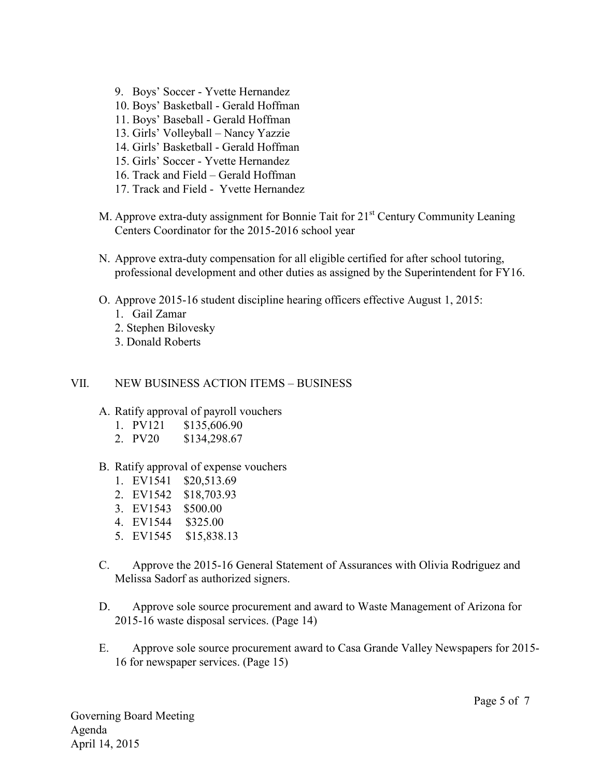- 9. Boys' Soccer Yvette Hernandez
- 10. Boys' Basketball Gerald Hoffman
- 11. Boys' Baseball Gerald Hoffman
- 13. Girls' Volleyball Nancy Yazzie
- 14. Girls' Basketball Gerald Hoffman
- 15. Girls' Soccer Yvette Hernandez
- 16. Track and Field Gerald Hoffman
- 17. Track and Field Yvette Hernandez
- M. Approve extra-duty assignment for Bonnie Tait for 21<sup>st</sup> Century Community Leaning Centers Coordinator for the 2015-2016 school year
- N. Approve extra-duty compensation for all eligible certified for after school tutoring, professional development and other duties as assigned by the Superintendent for FY16.
- O. Approve 2015-16 student discipline hearing officers effective August 1, 2015:
	- 1. Gail Zamar
	- 2. Stephen Bilovesky
	- 3. Donald Roberts

#### VII. NEW BUSINESS ACTION ITEMS – BUSINESS

#### A. Ratify approval of payroll vouchers

- 1. PV121 \$135,606.90
- 2. PV20 \$134,298.67
- B. Ratify approval of expense vouchers
	- 1. EV1541 \$20,513.69
	- 2. EV1542 \$18,703.93
	- 3. EV1543 \$500.00
	- 4. EV1544 \$325.00
	- 5. EV1545 \$15,838.13
- C. Approve the 2015-16 General Statement of Assurances with Olivia Rodriguez and Melissa Sadorf as authorized signers.
- D. Approve sole source procurement and award to Waste Management of Arizona for 2015-16 waste disposal services. (Page 14)
- E. Approve sole source procurement award to Casa Grande Valley Newspapers for 2015- 16 for newspaper services. (Page 15)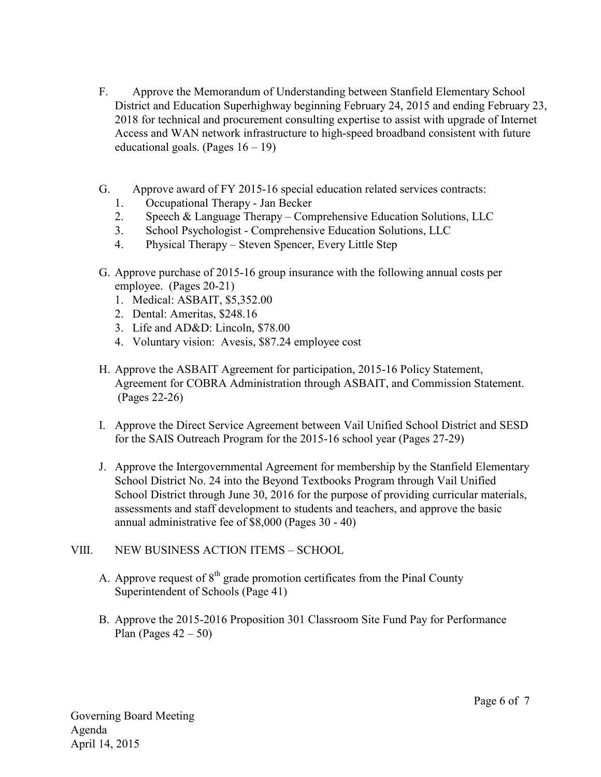- F. Approve the Memorandum of Understanding between Stanfield Elementary School District and Education Superhighway beginning February 24, 2015 and ending February 23, 2018 for technical and procurement consulting expertise to assist with upgrade of Internet Access and WAN network infrastructure to high-speed broadband consistent with future educational goals. (Pages  $16 - 19$ )
- G. Approve award of FY 2015-16 special education related services contracts:
	- 1. Occupational Therapy Jan Becker
	- 2. Speech & Language Therapy Comprehensive Education Solutions, LLC
	- 3. School Psychologist Comprehensive Education Solutions, LLC
	- 4. Physical Therapy Steven Spencer, Every Little Step
- G. Approve purchase of 2015-16 group insurance with the following annual costs per employee. (Pages 20-21)
	- 1. Medical: ASBAIT, \$5,352.00
	- 2. Dental: Ameritas, \$248.16
	- 3. Life and AD&D: Lincoln, \$78.00
	- 4. Voluntary vision: Avesis, \$87.24 employee cost
- H. Approve the ASBAIT Agreement for participation, 2015-16 Policy Statement, Agreement for COBRA Administration through ASBAIT, and Commission Statement. (Pages 22-26)
- I. Approve the Direct Service Agreement between Vail Unified School District and SESD for the SAIS Outreach Program for the 2015-16 school year (Pages 27-29)
- J. Approve the Intergovernmental Agreement for membership by the Stanfield Elementary School District No. 24 into the Beyond Textbooks Program through Vail Unified School District through June 30, 2016 for the purpose of providing curricular materials, assessments and staff development to students and teachers, and approve the basic annual administrative fee of \$8,000 (Pages 30 - 40)

# VIII. NEW BUSINESS ACTION ITEMS – SCHOOL

- A. Approve request of  $8<sup>th</sup>$  grade promotion certificates from the Pinal County Superintendent of Schools (Page 41)
- B. Approve the 2015-2016 Proposition 301 Classroom Site Fund Pay for Performance Plan (Pages  $42 - 50$ )